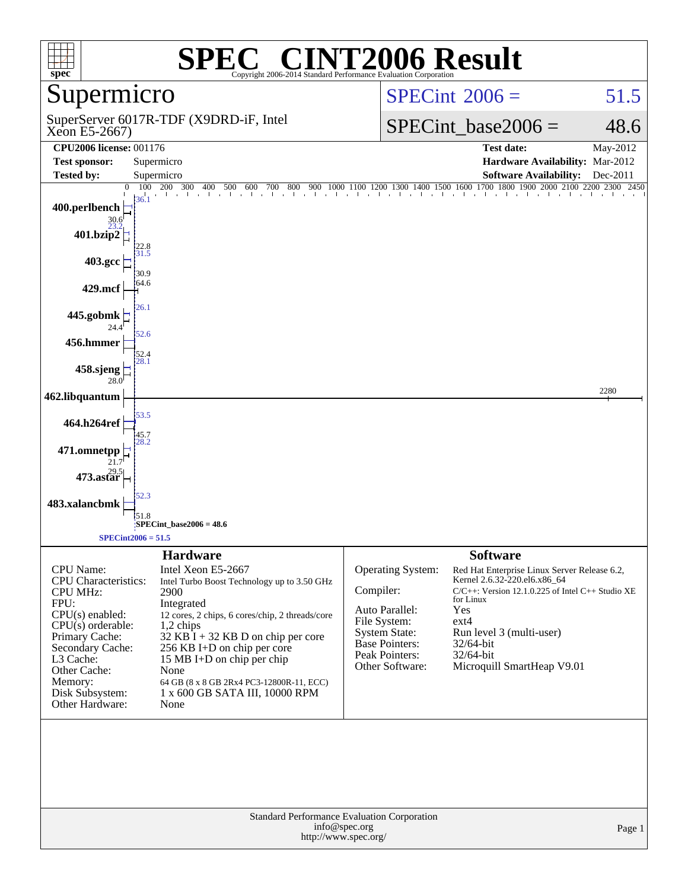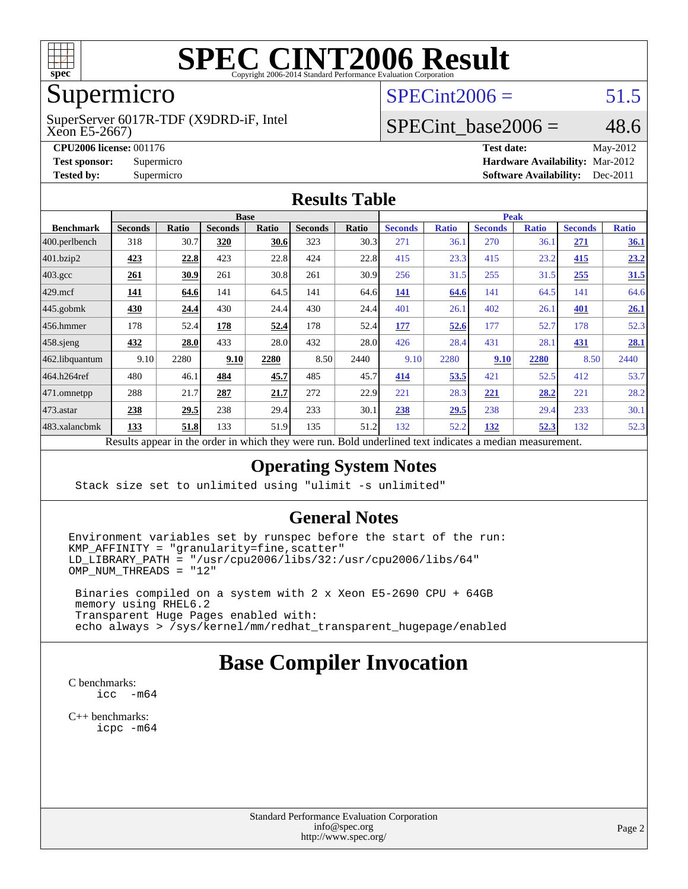

# **[SPEC CINT2006 Result](http://www.spec.org/auto/cpu2006/Docs/result-fields.html#SPECCINT2006Result)**

# Supermicro

Xeon E5-2667) SuperServer 6017R-TDF (X9DRD-iF, Intel  $SPECint2006 = 51.5$  $SPECint2006 = 51.5$ 

## SPECint base2006 =  $48.6$

**[CPU2006 license:](http://www.spec.org/auto/cpu2006/Docs/result-fields.html#CPU2006license)** 001176 **[Test date:](http://www.spec.org/auto/cpu2006/Docs/result-fields.html#Testdate)** May-2012 **[Test sponsor:](http://www.spec.org/auto/cpu2006/Docs/result-fields.html#Testsponsor)** Supermicro **[Hardware Availability:](http://www.spec.org/auto/cpu2006/Docs/result-fields.html#HardwareAvailability)** Mar-2012 **[Tested by:](http://www.spec.org/auto/cpu2006/Docs/result-fields.html#Testedby)** Supermicro **Supermicro [Software Availability:](http://www.spec.org/auto/cpu2006/Docs/result-fields.html#SoftwareAvailability)** Dec-2011

#### **[Results Table](http://www.spec.org/auto/cpu2006/Docs/result-fields.html#ResultsTable)**

| <b>Base</b>    |       |                |                         |                                                  | <b>Peak</b>  |                |                                      |                |                              |                |              |
|----------------|-------|----------------|-------------------------|--------------------------------------------------|--------------|----------------|--------------------------------------|----------------|------------------------------|----------------|--------------|
| <b>Seconds</b> | Ratio | <b>Seconds</b> | Ratio                   | <b>Seconds</b>                                   | Ratio        | <b>Seconds</b> | <b>Ratio</b>                         | <b>Seconds</b> | <b>Ratio</b>                 | <b>Seconds</b> | <b>Ratio</b> |
| 318            | 30.7  | 320            | 30.6                    | 323                                              | 30.3         | 271            | 36.1                                 | 270            | 36.1                         | 271            | 36.1         |
| 423            | 22.8  | 423            |                         | 424                                              | 22.8         | 415            |                                      | 415            | 23.2                         | 415            | 23.2         |
| 261            | 30.9  | 261            |                         | 261                                              | 30.9         | 256            |                                      | 255            | 31.5                         | 255            | 31.5         |
| <b>141</b>     | 64.6  | 141            |                         | 141                                              |              | 141            | 64.6                                 | 141            | 64.5                         | 141            | 64.6         |
| 430            | 24.4  | 430            |                         | 430                                              |              | 401            | 26.1                                 | 402            | 26.1                         | 401            | 26.1         |
| 178            |       | 178            | 52.4                    | 178                                              |              | 177            | 52.6                                 | 177            | 52.7                         | 178            | 52.3         |
| 432            | 28.0  | 433            |                         | 432                                              |              | 426            |                                      | 431            | 28.1                         | 431            | 28.1         |
| 9.10           | 2280  | 9.10           | 2280                    | 8.50                                             | 2440         | 9.10           | 2280                                 | 9.10           | 2280                         | 8.50           | 2440         |
| 480            | 46.1  | 484            | 45.7                    | 485                                              | 45.7         | 414            | 53.5                                 | 421            | 52.5                         | 412            | 53.7         |
| 288            | 21.7  | 287            | 21.7                    | 272                                              | 22.9         | 221            | 28.3                                 | 221            | 28.2                         | 221            | 28.2         |
| 238            | 29.5  | 238            |                         | 233                                              | 30.1         | 238            | 29.5                                 | 238            | 29.4                         | 233            | 30.1         |
| 133            | 51.8  | 133            |                         | 135                                              |              | 132            |                                      | 132            | 52.3                         | 132            | 52.3         |
|                |       |                | 52.4<br>and the control | 22.8<br>30.8<br>64.5<br>28.0<br>51.9<br>1.3.1.41 | 24.4<br>29.4 |                | 64.6<br>24.4<br>52.4<br>28.0<br>51.2 |                | 23.3<br>31.5<br>28.4<br>52.2 |                |              |

Results appear in the [order in which they were run.](http://www.spec.org/auto/cpu2006/Docs/result-fields.html#RunOrder) Bold underlined text [indicates a median measurement.](http://www.spec.org/auto/cpu2006/Docs/result-fields.html#Median)

#### **[Operating System Notes](http://www.spec.org/auto/cpu2006/Docs/result-fields.html#OperatingSystemNotes)**

Stack size set to unlimited using "ulimit -s unlimited"

#### **[General Notes](http://www.spec.org/auto/cpu2006/Docs/result-fields.html#GeneralNotes)**

Environment variables set by runspec before the start of the run:  $KMP_AFFINITY = "granularity=fine, scatter"$  $LD$ \_LIBRARY\_PATH = "/usr/cpu2006/libs/32:/usr/cpu2006/libs/64"  $OMP$  NUM THREADS = "12"

 Binaries compiled on a system with 2 x Xeon E5-2690 CPU + 64GB memory using RHEL6.2 Transparent Huge Pages enabled with: echo always > /sys/kernel/mm/redhat\_transparent\_hugepage/enabled

## **[Base Compiler Invocation](http://www.spec.org/auto/cpu2006/Docs/result-fields.html#BaseCompilerInvocation)**

[C benchmarks](http://www.spec.org/auto/cpu2006/Docs/result-fields.html#Cbenchmarks): [icc -m64](http://www.spec.org/cpu2006/results/res2012q3/cpu2006-20120515-21766.flags.html#user_CCbase_intel_icc_64bit_f346026e86af2a669e726fe758c88044)

[C++ benchmarks:](http://www.spec.org/auto/cpu2006/Docs/result-fields.html#CXXbenchmarks) [icpc -m64](http://www.spec.org/cpu2006/results/res2012q3/cpu2006-20120515-21766.flags.html#user_CXXbase_intel_icpc_64bit_fc66a5337ce925472a5c54ad6a0de310)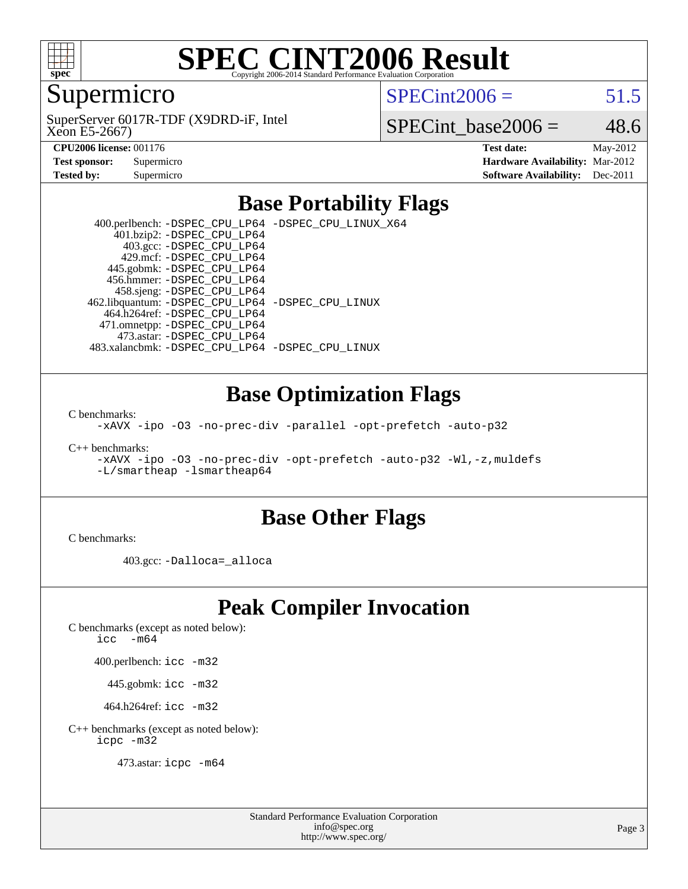

# **[SPEC CINT2006 Result](http://www.spec.org/auto/cpu2006/Docs/result-fields.html#SPECCINT2006Result)**

### Supermicro

 $SPECint2006 = 51.5$  $SPECint2006 = 51.5$ 

Xeon E5-2667) SuperServer 6017R-TDF (X9DRD-iF, Intel

SPECint base2006 =  $48.6$ 

| <b>Test sponsor:</b> | Supermicro |
|----------------------|------------|
| <b>Tested by:</b>    | Supermicro |

**[CPU2006 license:](http://www.spec.org/auto/cpu2006/Docs/result-fields.html#CPU2006license)** 001176 **[Test date:](http://www.spec.org/auto/cpu2006/Docs/result-fields.html#Testdate)** May-2012 **[Hardware Availability:](http://www.spec.org/auto/cpu2006/Docs/result-fields.html#HardwareAvailability)** Mar-2012 **[Software Availability:](http://www.spec.org/auto/cpu2006/Docs/result-fields.html#SoftwareAvailability)** Dec-2011

### **[Base Portability Flags](http://www.spec.org/auto/cpu2006/Docs/result-fields.html#BasePortabilityFlags)**

 400.perlbench: [-DSPEC\\_CPU\\_LP64](http://www.spec.org/cpu2006/results/res2012q3/cpu2006-20120515-21766.flags.html#b400.perlbench_basePORTABILITY_DSPEC_CPU_LP64) [-DSPEC\\_CPU\\_LINUX\\_X64](http://www.spec.org/cpu2006/results/res2012q3/cpu2006-20120515-21766.flags.html#b400.perlbench_baseCPORTABILITY_DSPEC_CPU_LINUX_X64) 401.bzip2: [-DSPEC\\_CPU\\_LP64](http://www.spec.org/cpu2006/results/res2012q3/cpu2006-20120515-21766.flags.html#suite_basePORTABILITY401_bzip2_DSPEC_CPU_LP64) 403.gcc: [-DSPEC\\_CPU\\_LP64](http://www.spec.org/cpu2006/results/res2012q3/cpu2006-20120515-21766.flags.html#suite_basePORTABILITY403_gcc_DSPEC_CPU_LP64) 429.mcf: [-DSPEC\\_CPU\\_LP64](http://www.spec.org/cpu2006/results/res2012q3/cpu2006-20120515-21766.flags.html#suite_basePORTABILITY429_mcf_DSPEC_CPU_LP64) 445.gobmk: [-DSPEC\\_CPU\\_LP64](http://www.spec.org/cpu2006/results/res2012q3/cpu2006-20120515-21766.flags.html#suite_basePORTABILITY445_gobmk_DSPEC_CPU_LP64) 456.hmmer: [-DSPEC\\_CPU\\_LP64](http://www.spec.org/cpu2006/results/res2012q3/cpu2006-20120515-21766.flags.html#suite_basePORTABILITY456_hmmer_DSPEC_CPU_LP64) 458.sjeng: [-DSPEC\\_CPU\\_LP64](http://www.spec.org/cpu2006/results/res2012q3/cpu2006-20120515-21766.flags.html#suite_basePORTABILITY458_sjeng_DSPEC_CPU_LP64) 462.libquantum: [-DSPEC\\_CPU\\_LP64](http://www.spec.org/cpu2006/results/res2012q3/cpu2006-20120515-21766.flags.html#suite_basePORTABILITY462_libquantum_DSPEC_CPU_LP64) [-DSPEC\\_CPU\\_LINUX](http://www.spec.org/cpu2006/results/res2012q3/cpu2006-20120515-21766.flags.html#b462.libquantum_baseCPORTABILITY_DSPEC_CPU_LINUX) 464.h264ref: [-DSPEC\\_CPU\\_LP64](http://www.spec.org/cpu2006/results/res2012q3/cpu2006-20120515-21766.flags.html#suite_basePORTABILITY464_h264ref_DSPEC_CPU_LP64) 471.omnetpp: [-DSPEC\\_CPU\\_LP64](http://www.spec.org/cpu2006/results/res2012q3/cpu2006-20120515-21766.flags.html#suite_basePORTABILITY471_omnetpp_DSPEC_CPU_LP64) 473.astar: [-DSPEC\\_CPU\\_LP64](http://www.spec.org/cpu2006/results/res2012q3/cpu2006-20120515-21766.flags.html#suite_basePORTABILITY473_astar_DSPEC_CPU_LP64) 483.xalancbmk: [-DSPEC\\_CPU\\_LP64](http://www.spec.org/cpu2006/results/res2012q3/cpu2006-20120515-21766.flags.html#suite_basePORTABILITY483_xalancbmk_DSPEC_CPU_LP64) [-DSPEC\\_CPU\\_LINUX](http://www.spec.org/cpu2006/results/res2012q3/cpu2006-20120515-21766.flags.html#b483.xalancbmk_baseCXXPORTABILITY_DSPEC_CPU_LINUX)

#### **[Base Optimization Flags](http://www.spec.org/auto/cpu2006/Docs/result-fields.html#BaseOptimizationFlags)**

[C benchmarks](http://www.spec.org/auto/cpu2006/Docs/result-fields.html#Cbenchmarks):

[-xAVX](http://www.spec.org/cpu2006/results/res2012q3/cpu2006-20120515-21766.flags.html#user_CCbase_f-xAVX) [-ipo](http://www.spec.org/cpu2006/results/res2012q3/cpu2006-20120515-21766.flags.html#user_CCbase_f-ipo) [-O3](http://www.spec.org/cpu2006/results/res2012q3/cpu2006-20120515-21766.flags.html#user_CCbase_f-O3) [-no-prec-div](http://www.spec.org/cpu2006/results/res2012q3/cpu2006-20120515-21766.flags.html#user_CCbase_f-no-prec-div) [-parallel](http://www.spec.org/cpu2006/results/res2012q3/cpu2006-20120515-21766.flags.html#user_CCbase_f-parallel) [-opt-prefetch](http://www.spec.org/cpu2006/results/res2012q3/cpu2006-20120515-21766.flags.html#user_CCbase_f-opt-prefetch) [-auto-p32](http://www.spec.org/cpu2006/results/res2012q3/cpu2006-20120515-21766.flags.html#user_CCbase_f-auto-p32)

[C++ benchmarks:](http://www.spec.org/auto/cpu2006/Docs/result-fields.html#CXXbenchmarks)

[-xAVX](http://www.spec.org/cpu2006/results/res2012q3/cpu2006-20120515-21766.flags.html#user_CXXbase_f-xAVX) [-ipo](http://www.spec.org/cpu2006/results/res2012q3/cpu2006-20120515-21766.flags.html#user_CXXbase_f-ipo) [-O3](http://www.spec.org/cpu2006/results/res2012q3/cpu2006-20120515-21766.flags.html#user_CXXbase_f-O3) [-no-prec-div](http://www.spec.org/cpu2006/results/res2012q3/cpu2006-20120515-21766.flags.html#user_CXXbase_f-no-prec-div) [-opt-prefetch](http://www.spec.org/cpu2006/results/res2012q3/cpu2006-20120515-21766.flags.html#user_CXXbase_f-opt-prefetch) [-auto-p32](http://www.spec.org/cpu2006/results/res2012q3/cpu2006-20120515-21766.flags.html#user_CXXbase_f-auto-p32) [-Wl,-z,muldefs](http://www.spec.org/cpu2006/results/res2012q3/cpu2006-20120515-21766.flags.html#user_CXXbase_link_force_multiple1_74079c344b956b9658436fd1b6dd3a8a) [-L/smartheap -lsmartheap64](http://www.spec.org/cpu2006/results/res2012q3/cpu2006-20120515-21766.flags.html#user_CXXbase_SmartHeap64_5e654037dadeae1fe403ab4b4466e60b)

#### **[Base Other Flags](http://www.spec.org/auto/cpu2006/Docs/result-fields.html#BaseOtherFlags)**

[C benchmarks](http://www.spec.org/auto/cpu2006/Docs/result-fields.html#Cbenchmarks):

403.gcc: [-Dalloca=\\_alloca](http://www.spec.org/cpu2006/results/res2012q3/cpu2006-20120515-21766.flags.html#b403.gcc_baseEXTRA_CFLAGS_Dalloca_be3056838c12de2578596ca5467af7f3)

## **[Peak Compiler Invocation](http://www.spec.org/auto/cpu2006/Docs/result-fields.html#PeakCompilerInvocation)**

[C benchmarks \(except as noted below\)](http://www.spec.org/auto/cpu2006/Docs/result-fields.html#Cbenchmarksexceptasnotedbelow):

icc  $-m64$ 

400.perlbench: [icc -m32](http://www.spec.org/cpu2006/results/res2012q3/cpu2006-20120515-21766.flags.html#user_peakCCLD400_perlbench_intel_icc_a6a621f8d50482236b970c6ac5f55f93)

445.gobmk: [icc -m32](http://www.spec.org/cpu2006/results/res2012q3/cpu2006-20120515-21766.flags.html#user_peakCCLD445_gobmk_intel_icc_a6a621f8d50482236b970c6ac5f55f93)

464.h264ref: [icc -m32](http://www.spec.org/cpu2006/results/res2012q3/cpu2006-20120515-21766.flags.html#user_peakCCLD464_h264ref_intel_icc_a6a621f8d50482236b970c6ac5f55f93)

[C++ benchmarks \(except as noted below\):](http://www.spec.org/auto/cpu2006/Docs/result-fields.html#CXXbenchmarksexceptasnotedbelow) [icpc -m32](http://www.spec.org/cpu2006/results/res2012q3/cpu2006-20120515-21766.flags.html#user_CXXpeak_intel_icpc_4e5a5ef1a53fd332b3c49e69c3330699)

473.astar: [icpc -m64](http://www.spec.org/cpu2006/results/res2012q3/cpu2006-20120515-21766.flags.html#user_peakCXXLD473_astar_intel_icpc_64bit_fc66a5337ce925472a5c54ad6a0de310)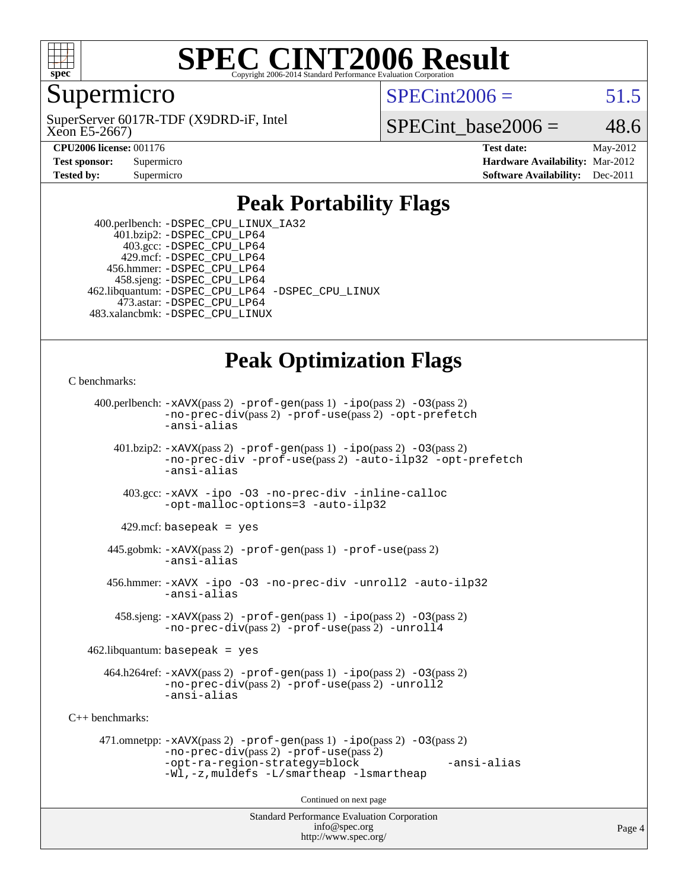

#### **[SPEC CINT2006 Result](http://www.spec.org/auto/cpu2006/Docs/result-fields.html#SPECCINT2006Result)** Copyright 2006-2014 Standard Performance Evaluation C

### Supermicro

Xeon E5-2667) SuperServer 6017R-TDF (X9DRD-iF, Intel  $SPECint2006 = 51.5$  $SPECint2006 = 51.5$ 

SPECint base2006 =  $48.6$ 

**[CPU2006 license:](http://www.spec.org/auto/cpu2006/Docs/result-fields.html#CPU2006license)** 001176 **[Test date:](http://www.spec.org/auto/cpu2006/Docs/result-fields.html#Testdate)** May-2012 **[Test sponsor:](http://www.spec.org/auto/cpu2006/Docs/result-fields.html#Testsponsor)** Supermicro **[Hardware Availability:](http://www.spec.org/auto/cpu2006/Docs/result-fields.html#HardwareAvailability)** Mar-2012 **[Tested by:](http://www.spec.org/auto/cpu2006/Docs/result-fields.html#Testedby)** Supermicro **Supermicro [Software Availability:](http://www.spec.org/auto/cpu2006/Docs/result-fields.html#SoftwareAvailability)** Dec-2011

## **[Peak Portability Flags](http://www.spec.org/auto/cpu2006/Docs/result-fields.html#PeakPortabilityFlags)**

 400.perlbench: [-DSPEC\\_CPU\\_LINUX\\_IA32](http://www.spec.org/cpu2006/results/res2012q3/cpu2006-20120515-21766.flags.html#b400.perlbench_peakCPORTABILITY_DSPEC_CPU_LINUX_IA32) 401.bzip2: [-DSPEC\\_CPU\\_LP64](http://www.spec.org/cpu2006/results/res2012q3/cpu2006-20120515-21766.flags.html#suite_peakPORTABILITY401_bzip2_DSPEC_CPU_LP64) 403.gcc: [-DSPEC\\_CPU\\_LP64](http://www.spec.org/cpu2006/results/res2012q3/cpu2006-20120515-21766.flags.html#suite_peakPORTABILITY403_gcc_DSPEC_CPU_LP64) 429.mcf: [-DSPEC\\_CPU\\_LP64](http://www.spec.org/cpu2006/results/res2012q3/cpu2006-20120515-21766.flags.html#suite_peakPORTABILITY429_mcf_DSPEC_CPU_LP64) 456.hmmer: [-DSPEC\\_CPU\\_LP64](http://www.spec.org/cpu2006/results/res2012q3/cpu2006-20120515-21766.flags.html#suite_peakPORTABILITY456_hmmer_DSPEC_CPU_LP64) 458.sjeng: [-DSPEC\\_CPU\\_LP64](http://www.spec.org/cpu2006/results/res2012q3/cpu2006-20120515-21766.flags.html#suite_peakPORTABILITY458_sjeng_DSPEC_CPU_LP64) 462.libquantum: [-DSPEC\\_CPU\\_LP64](http://www.spec.org/cpu2006/results/res2012q3/cpu2006-20120515-21766.flags.html#suite_peakPORTABILITY462_libquantum_DSPEC_CPU_LP64) [-DSPEC\\_CPU\\_LINUX](http://www.spec.org/cpu2006/results/res2012q3/cpu2006-20120515-21766.flags.html#b462.libquantum_peakCPORTABILITY_DSPEC_CPU_LINUX) 473.astar: [-DSPEC\\_CPU\\_LP64](http://www.spec.org/cpu2006/results/res2012q3/cpu2006-20120515-21766.flags.html#suite_peakPORTABILITY473_astar_DSPEC_CPU_LP64) 483.xalancbmk: [-DSPEC\\_CPU\\_LINUX](http://www.spec.org/cpu2006/results/res2012q3/cpu2006-20120515-21766.flags.html#b483.xalancbmk_peakCXXPORTABILITY_DSPEC_CPU_LINUX)

## **[Peak Optimization Flags](http://www.spec.org/auto/cpu2006/Docs/result-fields.html#PeakOptimizationFlags)**

[C benchmarks](http://www.spec.org/auto/cpu2006/Docs/result-fields.html#Cbenchmarks):

```
Standard Performance Evaluation Corporation
                                          info@spec.org
     400.perlbench: -xAVX(pass 2) -prof-gen(pass 1) -ipo(pass 2) -O3(pass 2)
                -no-prec-div(pass 2) -prof-use(pass 2) -opt-prefetch
                -ansi-alias
        401.bzip2: -xAVX(pass 2) -prof-gen(pass 1) -ipo(pass 2) -O3(pass 2)
                -no-prec-div -prof-use(pass 2) -auto-ilp32 -opt-prefetch
                -ansi-alias
          403.gcc: -xAVX -ipo -O3 -no-prec-div -inline-calloc
                -opt-malloc-options=3 -auto-ilp32
         429.mcf: basepeak = yes
       445.gobmk: -xAVX(pass 2) -prof-gen(pass 1) -prof-use(pass 2)
                -ansi-alias
       456.hmmer: -xAVX -ipo -O3 -no-prec-div -unroll2 -auto-ilp32
                -ansi-alias
         458.sjeng: -xAVX(pass 2) -prof-gen(pass 1) -ipo(pass 2) -O3(pass 2)
                -no-prec-div(pass 2) -prof-use(pass 2) -unroll4
    462.libquantum: basepeak = yes
       464.h264ref: -xAVX(pass 2) -prof-gen(pass 1) -ipo(pass 2) -O3(pass 2)
                -no-prec-div(pass 2) -prof-use(pass 2) -unroll2
                -ansi-alias
C++ benchmarks: 
      471.omnetpp: -xAVX(pass 2) -prof-gen(pass 1) -ipo(pass 2) -O3(pass 2)
                -no-prec-div(pass 2) -prof-use(pass 2)
                -opt-ra-region-strategy=block -ansi-alias
                -Wl,-z,muldefs -L/smartheap -lsmartheap
                                        Continued on next page
```
<http://www.spec.org/>